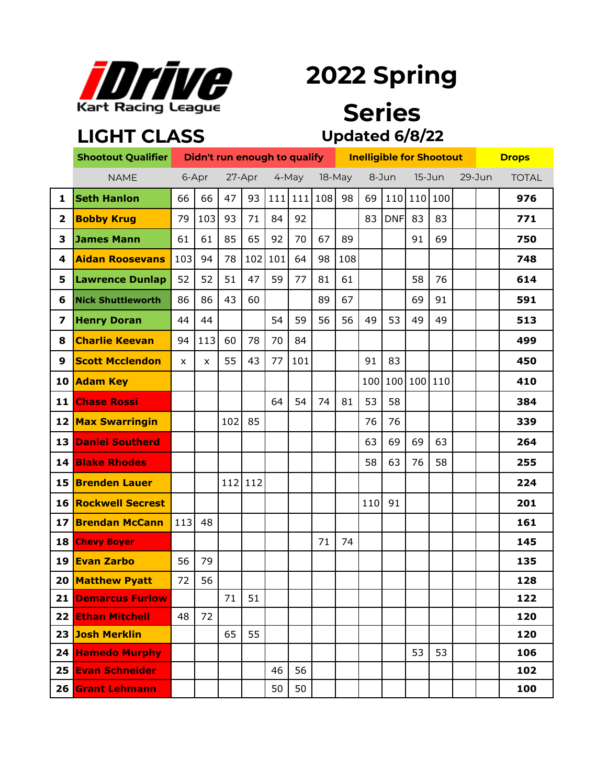

**LIGHT CLASS**

# **2022 Spring**

### **Series Updated 6/8/22**

|    | <b>Shootout Qualifier</b>  |     |       |     |        |     | Didn't run enough to qualify |        |     | <b>Inelligible for Shootout</b> |            | <b>Drops</b> |         |            |  |              |
|----|----------------------------|-----|-------|-----|--------|-----|------------------------------|--------|-----|---------------------------------|------------|--------------|---------|------------|--|--------------|
|    | <b>NAME</b>                |     | 6-Apr |     | 27-Apr |     | 4-May                        | 18-May |     | 8-Jun                           |            | $15 - J$ un  |         | $29 - Jun$ |  | <b>TOTAL</b> |
| 1  | <b>Seth Hanlon</b>         | 66  | 66    | 47  | 93     |     | $111$   111                  | 108    | 98  | 69                              |            | 110 110      | 100     |            |  | 976          |
| 2  | <b>Bobby Krug</b>          | 79  | 103   | 93  | 71     | 84  | 92                           |        |     | 83                              | <b>DNF</b> | 83           | 83      |            |  | 771          |
| 3  | James Mann                 | 61  | 61    | 85  | 65     | 92  | 70                           | 67     | 89  |                                 |            | 91           | 69      |            |  | 750          |
| 4  | <b>Aidan Roosevans</b>     | 103 | 94    | 78  | 102    | 101 | 64                           | 98     | 108 |                                 |            |              |         |            |  | 748          |
| 5  | <b>Lawrence Dunlap</b>     | 52  | 52    | 51  | 47     | 59  | 77                           | 81     | 61  |                                 |            | 58           | 76      |            |  | 614          |
| 6  | <b>Nick Shuttleworth</b>   | 86  | 86    | 43  | 60     |     |                              | 89     | 67  |                                 |            | 69           | 91      |            |  | 591          |
| 7  | <b>Henry Doran</b>         | 44  | 44    |     |        | 54  | 59                           | 56     | 56  | 49                              | 53         | 49           | 49      |            |  | 513          |
| 8  | <b>Charlie Keevan</b>      | 94  | 113   | 60  | 78     | 70  | 84                           |        |     |                                 |            |              |         |            |  | 499          |
| 9  | <b>Scott Mcclendon</b>     | X   | X     | 55  | 43     | 77  | 101                          |        |     | 91                              | 83         |              |         |            |  | 450          |
|    | 10 Adam Key                |     |       |     |        |     |                              |        |     | 100                             | 100        |              | 100 110 |            |  | 410          |
|    | <b>11 Chase Rossi</b>      |     |       |     |        | 64  | 54                           | 74     | 81  | 53                              | 58         |              |         |            |  | 384          |
|    | <b>12 Max Swarringin</b>   |     |       | 102 | 85     |     |                              |        |     | 76                              | 76         |              |         |            |  | 339          |
|    | <b>13 Daniel Southerd</b>  |     |       |     |        |     |                              |        |     | 63                              | 69         | 69           | 63      |            |  | 264          |
|    | <b>14 Blake Rhodes</b>     |     |       |     |        |     |                              |        |     | 58                              | 63         | 76           | 58      |            |  | 255          |
|    | 15 Brenden Lauer           |     |       | 112 | 112    |     |                              |        |     |                                 |            |              |         |            |  | 224          |
|    | <b>16 Rockwell Secrest</b> |     |       |     |        |     |                              |        |     | 110                             | 91         |              |         |            |  | 201          |
|    | 17 Brendan McCann          | 113 | 48    |     |        |     |                              |        |     |                                 |            |              |         |            |  | 161          |
|    | 18 Chevy Boyer             |     |       |     |        |     |                              | 71     | 74  |                                 |            |              |         |            |  | 145          |
| 19 | <b>Evan Zarbo</b>          | 56  | 79    |     |        |     |                              |        |     |                                 |            |              |         |            |  | 135          |
|    | 20 Matthew Pyatt           | 72  | 56    |     |        |     |                              |        |     |                                 |            |              |         |            |  | 128          |
|    | 21 Demarcus Furlow         |     |       | 71  | 51     |     |                              |        |     |                                 |            |              |         |            |  | 122          |
|    | <b>22 Ethan Mitchell</b>   | 48  | 72    |     |        |     |                              |        |     |                                 |            |              |         |            |  | 120          |
|    | 23 Josh Merklin            |     |       | 65  | 55     |     |                              |        |     |                                 |            |              |         |            |  | 120          |
|    | 24 Hamedo Murphy           |     |       |     |        |     |                              |        |     |                                 |            | 53           | 53      |            |  | 106          |
|    | 25 Evan Schneider          |     |       |     |        | 46  | 56                           |        |     |                                 |            |              |         |            |  | 102          |
|    | 26 Grant Lehmann           |     |       |     |        | 50  | 50                           |        |     |                                 |            |              |         |            |  | 100          |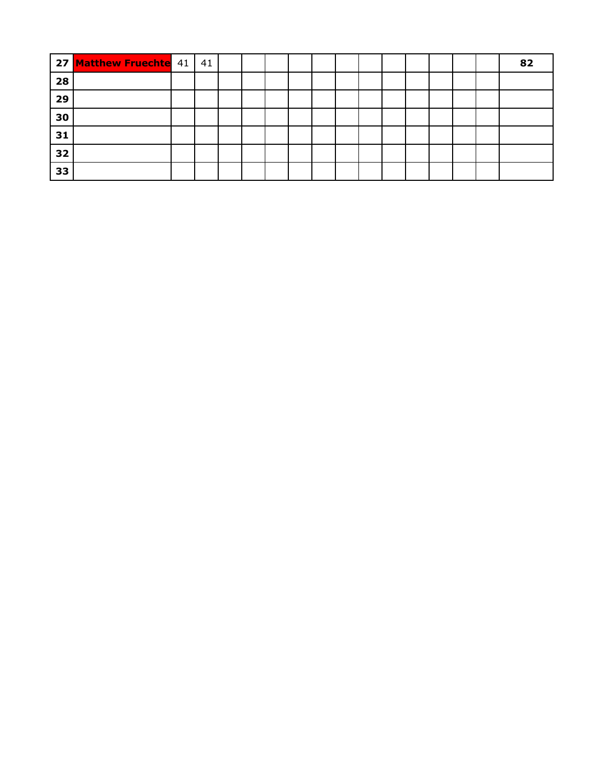|    | 27 Matthew Fruechte 41 | 41 |  |  |  |  |  |  | 82 |
|----|------------------------|----|--|--|--|--|--|--|----|
| 28 |                        |    |  |  |  |  |  |  |    |
| 29 |                        |    |  |  |  |  |  |  |    |
| 30 |                        |    |  |  |  |  |  |  |    |
| 31 |                        |    |  |  |  |  |  |  |    |
| 32 |                        |    |  |  |  |  |  |  |    |
| 33 |                        |    |  |  |  |  |  |  |    |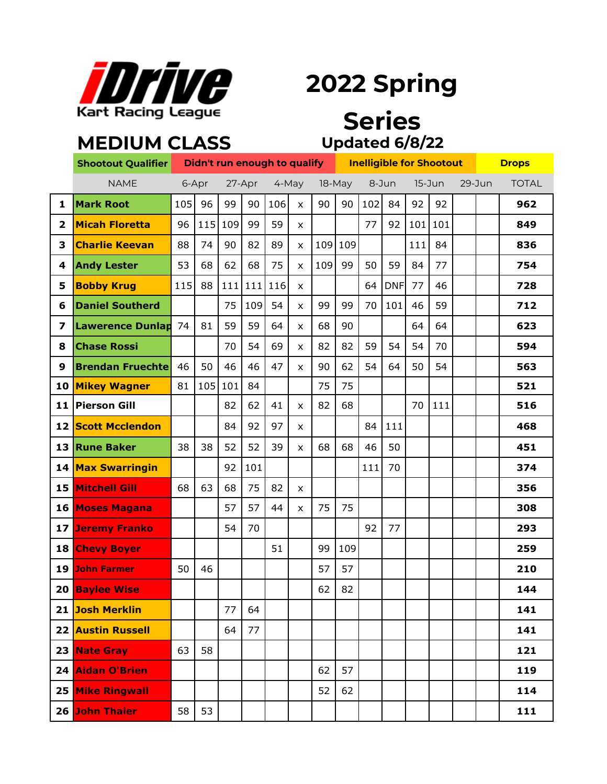

## **2022 Spring**

#### **Updated 6/8/22 Series**

|                         | <b>MEDIUM CLASS</b>       |     |                              |     |        |       |              |        |         |     |            |                                 |     |            |  |              |
|-------------------------|---------------------------|-----|------------------------------|-----|--------|-------|--------------|--------|---------|-----|------------|---------------------------------|-----|------------|--|--------------|
|                         | <b>Shootout Qualifier</b> |     | Didn't run enough to qualify |     |        |       |              |        |         |     |            | <b>Inelligible for Shootout</b> |     |            |  | <b>Drops</b> |
|                         | <b>NAME</b>               |     | 6-Apr                        |     | 27-Apr | 4-May |              | 18-May |         |     | 8-Jun      | 15-Jun                          |     | $29 - Jun$ |  | <b>TOTAL</b> |
| 1                       | <b>Mark Root</b>          | 105 | 96                           | 99  | 90     | 106   | X            | 90     | 90      | 102 | 84         | 92                              | 92  |            |  | 962          |
| $\overline{2}$          | <b>Micah Floretta</b>     | 96  | 115                          | 109 | 99     | 59    | X            |        |         | 77  | 92         | 101                             | 101 |            |  | 849          |
| 3                       | <b>Charlie Keevan</b>     | 88  | 74                           | 90  | 82     | 89    | X            |        | 109 109 |     |            | 111                             | 84  |            |  | 836          |
| 4                       | <b>Andy Lester</b>        | 53  | 68                           | 62  | 68     | 75    | X            | 109    | 99      | 50  | 59         | 84                              | 77  |            |  | 754          |
| 5                       | <b>Bobby Krug</b>         | 115 | 88                           | 111 | 111    | 116   | X            |        |         | 64  | <b>DNF</b> | 77                              | 46  |            |  | 728          |
| 6                       | <b>Daniel Southerd</b>    |     |                              | 75  | 109    | 54    | X            | 99     | 99      | 70  | 101        | 46                              | 59  |            |  | 712          |
| $\overline{\mathbf{z}}$ | <b>Lawerence Dunlap</b>   | 74  | 81                           | 59  | 59     | 64    | X            | 68     | 90      |     |            | 64                              | 64  |            |  | 623          |
| 8                       | <b>Chase Rossi</b>        |     |                              | 70  | 54     | 69    | X            | 82     | 82      | 59  | 54         | 54                              | 70  |            |  | 594          |
| 9                       | <b>Brendan Fruechte</b>   | 46  | 50                           | 46  | 46     | 47    | X            | 90     | 62      | 54  | 64         | 50                              | 54  |            |  | 563          |
| 10                      | <b>Mikey Wagner</b>       | 81  | 105                          | 101 | 84     |       |              | 75     | 75      |     |            |                                 |     |            |  | 521          |
| 11                      | <b>Pierson Gill</b>       |     |                              | 82  | 62     | 41    | X            | 82     | 68      |     |            | 70                              | 111 |            |  | 516          |
| 12                      | <b>Scott Mcclendon</b>    |     |                              | 84  | 92     | 97    | x            |        |         | 84  | 111        |                                 |     |            |  | 468          |
| 13                      | <b>Rune Baker</b>         | 38  | 38                           | 52  | 52     | 39    | X            | 68     | 68      | 46  | 50         |                                 |     |            |  | 451          |
|                         | 14 Max Swarringin         |     |                              | 92  | 101    |       |              |        |         | 111 | 70         |                                 |     |            |  | 374          |
| 15                      | <b>Mitchell Gill</b>      | 68  | 63                           | 68  | 75     | 82    | $\mathsf{x}$ |        |         |     |            |                                 |     |            |  | 356          |
|                         | 16 Moses Magana           |     |                              | 57  | 57     | 44    | X            | 75     | 75      |     |            |                                 |     |            |  | 308          |
|                         | <b>17 Jeremy Franko</b>   |     |                              | 54  | 70     |       |              |        |         | 92  | 77         |                                 |     |            |  | 293          |
|                         | 18 Chevy Boyer            |     |                              |     |        | 51    |              | 99     | 109     |     |            |                                 |     |            |  | 259          |
|                         | <b>19 John Farmer</b>     | 50  | 46                           |     |        |       |              | 57     | 57      |     |            |                                 |     |            |  | 210          |
|                         | 20 Baylee Wise            |     |                              |     |        |       |              | 62     | 82      |     |            |                                 |     |            |  | 144          |
|                         | 21 Josh Merklin           |     |                              | 77  | 64     |       |              |        |         |     |            |                                 |     |            |  | 141          |
|                         | <b>22 Austin Russell</b>  |     |                              | 64  | 77     |       |              |        |         |     |            |                                 |     |            |  | 141          |
|                         | 23 Nate Gray              | 63  | 58                           |     |        |       |              |        |         |     |            |                                 |     |            |  | 121          |
|                         | 24 Aidan O'Brien          |     |                              |     |        |       |              | 62     | 57      |     |            |                                 |     |            |  | 119          |
|                         | <b>25 Mike Ringwall</b>   |     |                              |     |        |       |              | 52     | 62      |     |            |                                 |     |            |  | 114          |
|                         | 26 John Thaier            | 58  | 53                           |     |        |       |              |        |         |     |            |                                 |     |            |  | 111          |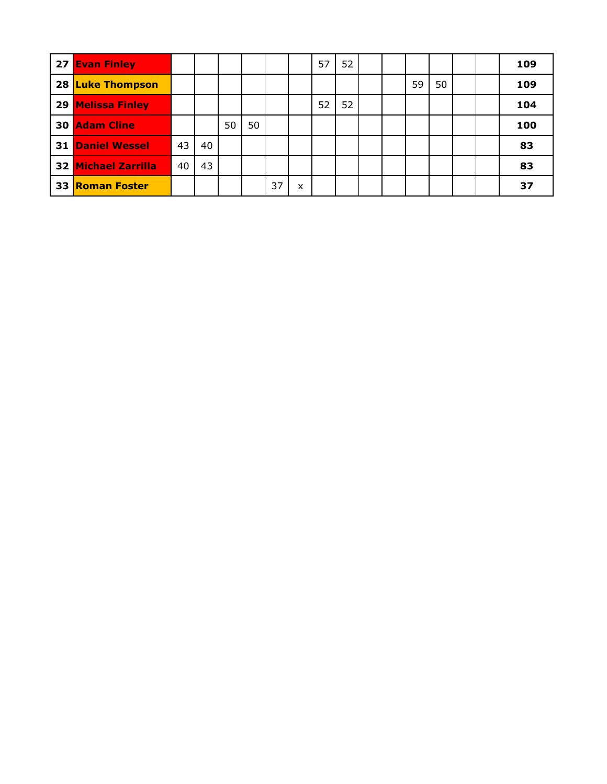| 27 Evan Finley             |    |    |    |    |    |   | 57 | 52 |  |    |    |  | 109 |
|----------------------------|----|----|----|----|----|---|----|----|--|----|----|--|-----|
| 28 Luke Thompson           |    |    |    |    |    |   |    |    |  | 59 | 50 |  | 109 |
| 29 Melissa Finley          |    |    |    |    |    |   | 52 | 52 |  |    |    |  | 104 |
| <b>30 Adam Cline</b>       |    |    | 50 | 50 |    |   |    |    |  |    |    |  | 100 |
| <b>31 Daniel Wessel</b>    | 43 | 40 |    |    |    |   |    |    |  |    |    |  | 83  |
| <b>32 Michael Zarrilla</b> | 40 | 43 |    |    |    |   |    |    |  |    |    |  | 83  |
| <b>33 Roman Foster</b>     |    |    |    |    | 37 | x |    |    |  |    |    |  | 37  |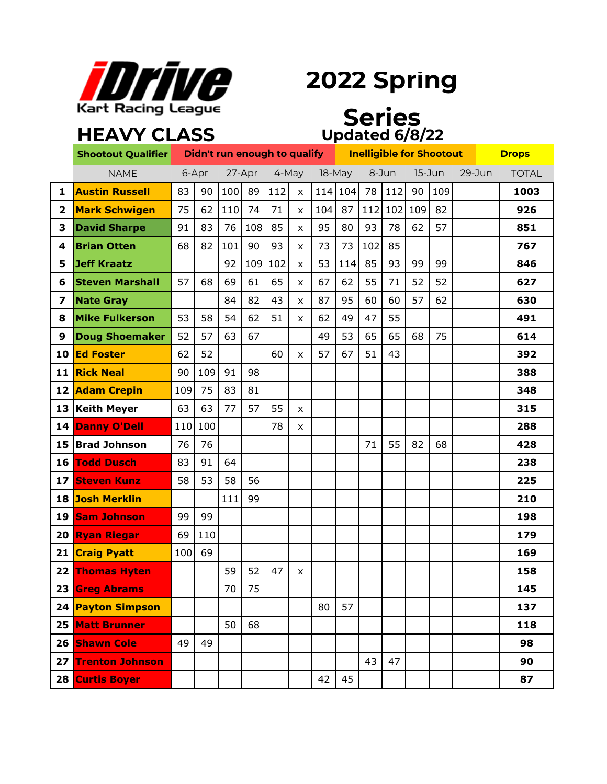

### **2022 Spring**

### **HEAVY CLASS**

#### **Series Updated 6/8/22**

|    | <b>Shootout Qualifier</b> |       |     |     |        | Didn't run enough to qualify |                |     |        |     | <b>Inelligible for Shootout</b> | <b>Drops</b> |     |        |              |
|----|---------------------------|-------|-----|-----|--------|------------------------------|----------------|-----|--------|-----|---------------------------------|--------------|-----|--------|--------------|
|    | <b>NAME</b>               | 6-Apr |     |     | 27-Apr |                              | 4-May          |     | 18-May |     | 8-Jun                           | 15-Jun       |     | 29-Jun | <b>TOTAL</b> |
| 1  | <b>Austin Russell</b>     | 83    | 90  | 100 | 89     | 112                          | X              | 114 | 104    | 78  | 112                             | 90           | 109 |        | 1003         |
| 2  | <b>Mark Schwigen</b>      | 75    | 62  | 110 | 74     | 71                           | X              | 104 | 87     | 112 | 102                             | 109          | 82  |        | 926          |
| З  | <b>David Sharpe</b>       | 91    | 83  | 76  | 108    | 85                           | X              | 95  | 80     | 93  | 78                              | 62           | 57  |        | 851          |
| 4  | <b>Brian Otten</b>        | 68    | 82  | 101 | 90     | 93                           | X              | 73  | 73     | 102 | 85                              |              |     |        | 767          |
| 5  | Jeff Kraatz               |       |     | 92  | 109    | 102                          | X              | 53  | 114    | 85  | 93                              | 99           | 99  |        | 846          |
| 6  | <b>Steven Marshall</b>    | 57    | 68  | 69  | 61     | 65                           | X              | 67  | 62     | 55  | 71                              | 52           | 52  |        | 627          |
| 7  | <b>Nate Gray</b>          |       |     | 84  | 82     | 43                           | X              | 87  | 95     | 60  | 60                              | 57           | 62  |        | 630          |
| 8  | <b>Mike Fulkerson</b>     | 53    | 58  | 54  | 62     | 51                           | X.             | 62  | 49     | 47  | 55                              |              |     |        | 491          |
| 9  | <b>Doug Shoemaker</b>     | 52    | 57  | 63  | 67     |                              |                | 49  | 53     | 65  | 65                              | 68           | 75  |        | 614          |
| 10 | <b>Ed Foster</b>          | 62    | 52  |     |        | 60                           | x              | 57  | 67     | 51  | 43                              |              |     |        | 392          |
|    | 11 Rick Neal              | 90    | 109 | 91  | 98     |                              |                |     |        |     |                                 |              |     |        | 388          |
|    | 12 Adam Crepin            | 109   | 75  | 83  | 81     |                              |                |     |        |     |                                 |              |     |        | 348          |
|    | 13 Keith Meyer            | 63    | 63  | 77  | 57     | 55                           | x              |     |        |     |                                 |              |     |        | 315          |
|    | 14 Danny O'Dell           | 110   | 100 |     |        | 78                           | X              |     |        |     |                                 |              |     |        | 288          |
|    | 15 Brad Johnson           | 76    | 76  |     |        |                              |                |     |        | 71  | 55                              | 82           | 68  |        | 428          |
| 16 | <b>Todd Dusch</b>         | 83    | 91  | 64  |        |                              |                |     |        |     |                                 |              |     |        | 238          |
| 17 | <b>Steven Kunz</b>        | 58    | 53  | 58  | 56     |                              |                |     |        |     |                                 |              |     |        | 225          |
|    | 18 Josh Merklin           |       |     | 111 | 99     |                              |                |     |        |     |                                 |              |     |        | 210          |
| 19 | <b>Sam Johnson</b>        | 99    | 99  |     |        |                              |                |     |        |     |                                 |              |     |        | 198          |
| 20 | <b>Ryan Riegar</b>        | 69    | 110 |     |        |                              |                |     |        |     |                                 |              |     |        | 179          |
|    | 21 Craig Pyatt            | 100   | 69  |     |        |                              |                |     |        |     |                                 |              |     |        | 169          |
| 22 | <b>Thomas Hyten</b>       |       |     | 59  | 52     | 47                           | $\pmb{\times}$ |     |        |     |                                 |              |     |        | 158          |
|    | 23 Greg Abrams            |       |     | 70  | 75     |                              |                |     |        |     |                                 |              |     |        | 145          |
|    | 24 Payton Simpson         |       |     |     |        |                              |                | 80  | 57     |     |                                 |              |     |        | 137          |
|    | 25 Matt Brunner           |       |     | 50  | 68     |                              |                |     |        |     |                                 |              |     |        | 118          |
|    | 26 Shawn Cole             | 49    | 49  |     |        |                              |                |     |        |     |                                 |              |     |        | 98           |
| 27 | <b>Trenton Johnson</b>    |       |     |     |        |                              |                |     |        | 43  | 47                              |              |     |        | 90           |
|    | 28 Curtis Boyer           |       |     |     |        |                              |                | 42  | 45     |     |                                 |              |     |        | 87           |